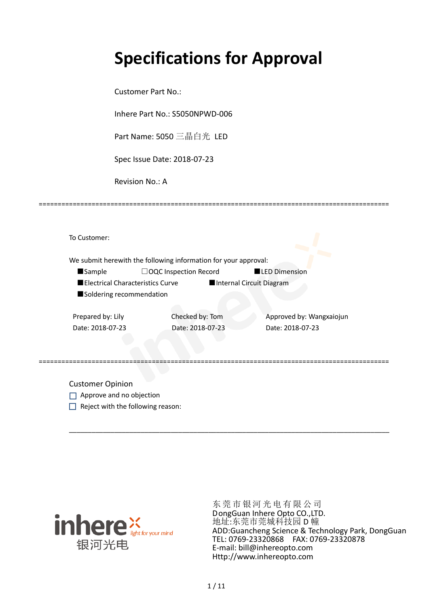# **Specifications for Approval**

Customer Part No.:

Inhere Part No.: S5050NPWD-006

Part Name: 5050 三晶白光 LED

Spec Issue Date: 2018-07-23

Revision No.: A

|                                  | We submit herewith the following information for your approval: |                          |
|----------------------------------|-----------------------------------------------------------------|--------------------------|
| <b>Sample</b>                    | $\Box$ OQC Inspection Record                                    | <b>LED Dimension</b>     |
| Electrical Characteristics Curve |                                                                 | Internal Circuit Diagram |
| Soldering recommendation         |                                                                 |                          |
|                                  |                                                                 |                          |
| Prepared by: Lily                | Checked by: Tom                                                 | Approved by: Wangxaiojun |
| Date: 2018-07-23                 | Date: 2018-07-23                                                | Date: 2018-07-23         |
|                                  |                                                                 |                          |
|                                  |                                                                 |                          |
|                                  |                                                                 |                          |

\_\_\_\_\_\_\_\_\_\_\_\_\_\_\_\_\_\_\_\_\_\_\_\_\_\_\_\_\_\_\_\_\_\_\_\_\_\_\_\_\_\_\_\_\_\_\_\_\_\_\_\_\_\_\_\_\_\_\_\_\_\_\_\_\_\_\_\_\_\_\_\_\_\_\_\_\_\_\_\_\_\_\_\_\_

=============================================================================================

- Approve and no objection
- $\Box$  Reject with the following reason:



东莞市银河光电有限公司 DongGuan Inhere Opto CO.,LTD. 地址:东莞市莞城科技园 D 幢 ADD:Guancheng Science & Technology Park, DongGuan TEL: 0769-23320868 FAX: 0769-23320878 E-mail: bill@inhereopto.com Http://www.inhereopto.com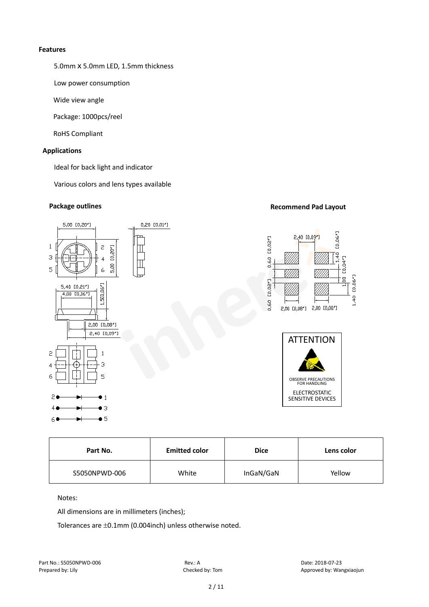#### **Features**

5.0mmⅹ5.0mm LED, 1.5mm thickness

Low power consumption

Wide view angle

Package: 1000pcs/reel

RoHS Compliant

# **Applications**

Ideal for back light and indicator

Various colors and lens types available

# **Package outlines Recommend Pad Layout Recommend Pad Layout**



| Part No.      | <b>Emitted color</b> | <b>Dice</b> | Lens color |
|---------------|----------------------|-------------|------------|
| S5050NPWD-006 | White                | InGaN/GaN   | Yellow     |

Notes:

All dimensions are in millimeters (inches);

Tolerances are ±0.1mm (0.004inch) unless otherwise noted.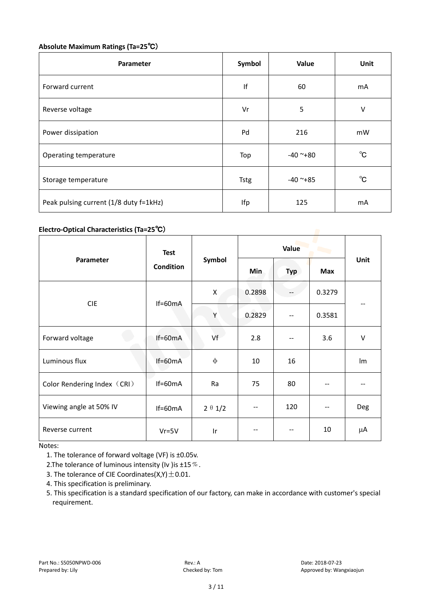# **Absolute Maximum Ratings (Ta=25**℃)

| Parameter                              | Symbol      | Value      | Unit         |
|----------------------------------------|-------------|------------|--------------|
| Forward current                        | lf          | 60         | mA           |
| Reverse voltage                        | Vr          | 5          | V            |
| Power dissipation                      | Pd          | 216        | mW           |
| Operating temperature                  | Top         | $-40$ ~+80 | $^{\circ}$ C |
| Storage temperature                    | <b>Tstg</b> | $-40$ ~+85 | $^{\circ}$ C |
| Peak pulsing current (1/8 duty f=1kHz) | Ifp         | 125        | mA           |

# **Electro-Optical Characteristics (Ta=25**℃)

|                             | <b>Test</b><br><b>Condition</b> | Symbol         | Value  |       |            |            |
|-----------------------------|---------------------------------|----------------|--------|-------|------------|------------|
| Parameter                   |                                 |                | Min    | Typ   | <b>Max</b> | Unit       |
| <b>CIE</b>                  | $If=60mA$                       | Χ              | 0.2898 |       | 0.3279     |            |
|                             |                                 | Υ              | 0.2829 | $- -$ | 0.3581     |            |
| Forward voltage             | $If=60mA$                       | Vf             | 2.8    | --    | 3.6        | $\vee$     |
| Luminous flux               | $If=60mA$                       | ф              | 10     | 16    |            | Im         |
| Color Rendering Index (CRI) | $If=60mA$                       | Ra             | 75     | 80    |            |            |
| Viewing angle at 50% IV     | $If=60mA$                       | $2 \theta 1/2$ | --     | 120   | --         | <b>Deg</b> |
| Reverse current             | $Vr = 5V$                       | Ir             |        |       | 10         | μA         |

Notes:

1. The tolerance of forward voltage (VF) is ±0.05v.

2. The tolerance of luminous intensity (Iv ) is  $\pm 15\%$ .

3. The tolerance of CIE Coordinates( $X,Y$ )  $\pm$  0.01.

4. This specification is preliminary.

5. This specification is a standard specification of our factory, can make in accordance with customer's special requirement.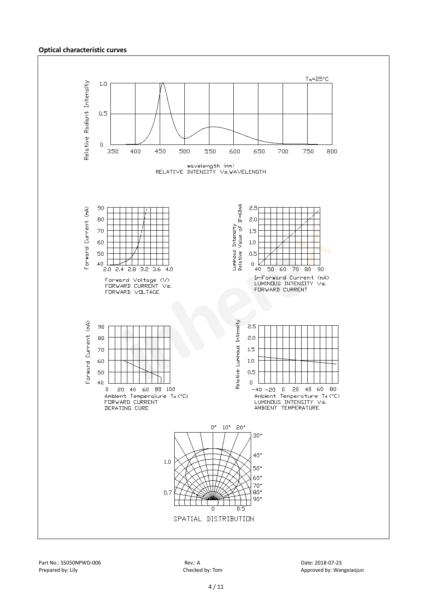#### **Optical characteristic curves**

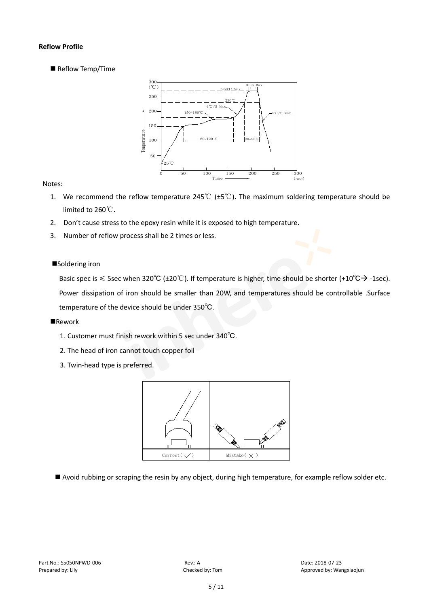# **Reflow Profile**

Reflow Temp/Time



# Notes:

- 1. We recommend the reflow temperature 245℃ (±5℃). The maximum soldering temperature should be limited to 260℃.
- 2. Don't cause stress to the epoxy resin while it is exposed to high temperature.
- 3. Number of reflow process shall be 2 times or less.

# ■Soldering iron

Basic spec is  $\leq$  5sec when 320°C (±20°C). If temperature is higher, time should be shorter (+10°C $\rightarrow$ -1sec). Power dissipation of iron should be smaller than 20W, and temperatures should be controllable .Surface temperature of the device should be under 350℃.

#### **Rework**

- 1. Customer must finish rework within 5 sec under 340℃.
- 2. The head of iron cannot touch copper foil
- 3. Twin-head type is preferred.



Avoid rubbing or scraping the resin by any object, during high temperature, for example reflow solder etc.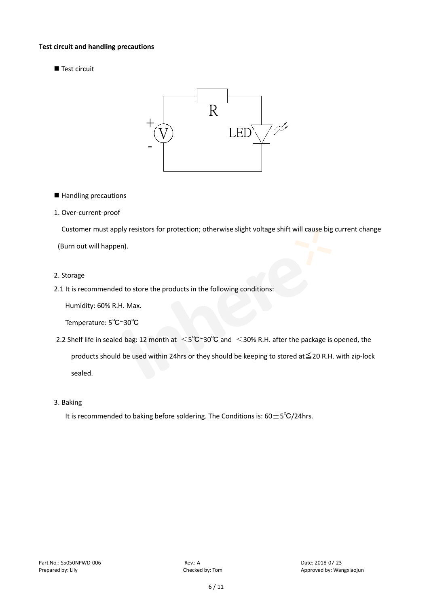#### T**est circuit and handling precautions**

Test circuit



■ Handling precautions

## 1. Over-current-proof

Customer must apply resistors for protection; otherwise slight voltage shift will cause big current change

(Burn out will happen).

#### 2. Storage

2.1 It is recommended to store the products in the following conditions:

Humidity: 60% R.H. Max.

Temperature: 5℃~30℃

- 2.2 Shelf life in sealed bag: 12 month at <5℃~30°C and <30% R.H. after the package is opened, the products should be used within 24hrs or they should be keeping to stored at≦20 R.H. with zip-lock sealed.
- 3. Baking

It is recommended to baking before soldering. The Conditions is:  $60±5°C/24$ hrs.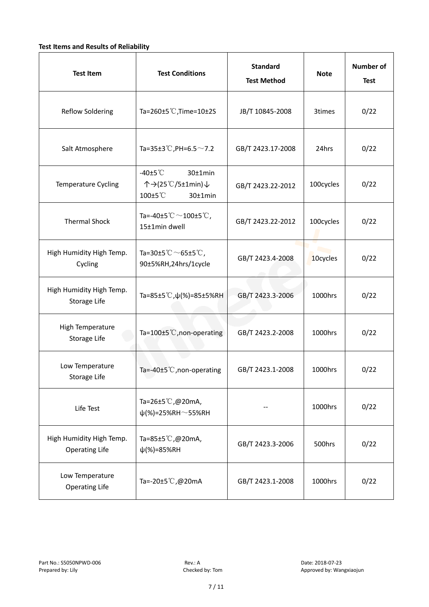# **Test Items and Results of Reliability**

| <b>Test Item</b>                                  | <b>Test Conditions</b>                                                         | <b>Standard</b><br><b>Test Method</b> | <b>Note</b> | <b>Number of</b><br><b>Test</b> |
|---------------------------------------------------|--------------------------------------------------------------------------------|---------------------------------------|-------------|---------------------------------|
| <b>Reflow Soldering</b>                           | Ta=260 $\pm$ 5 °C, Time=10 $\pm$ 2S                                            | JB/T 10845-2008                       | 3times      | 0/22                            |
| Salt Atmosphere                                   | Ta=35±3°C, PH=6.5 $\sim$ 7.2                                                   | GB/T 2423.17-2008                     | 24hrs       | 0/22                            |
| Temperature Cycling                               | -40 $±5^{\circ}$ C<br>$30±1$ min<br>个→(25℃/5±1min)↓<br>100±5°C<br>$30±1$ min   | GB/T 2423.22-2012                     | 100cycles   | 0/22                            |
| <b>Thermal Shock</b>                              | Ta=-40±5 $\degree \text{C}$ $\sim$ 100±5 $\degree \text{C}$ ,<br>15±1min dwell | GB/T 2423.22-2012                     | 100cycles   | 0/22                            |
| High Humidity High Temp.<br>Cycling               | Ta=30±5 °C $\sim$ 65±5 °C,<br>90±5%RH,24hrs/1cycle                             | GB/T 2423.4-2008                      | 10cycles    | 0/22                            |
| High Humidity High Temp.<br>Storage Life          | Ta=85±5 °C, $\psi$ (%)=85±5%RH                                                 | GB/T 2423.3-2006                      | 1000hrs     | 0/22                            |
| High Temperature<br><b>Storage Life</b>           | Ta=100±5°C, non-operating                                                      | GB/T 2423.2-2008                      | 1000hrs     | 0/22                            |
| Low Temperature<br>Storage Life                   | Ta=-40±5℃, non-operating                                                       | GB/T 2423.1-2008                      | 1000hrs     | 0/22                            |
| Life Test                                         | Ta=26±5℃,@20mA,<br>$\psi$ (%)=25%RH~55%RH                                      |                                       | 1000hrs     | 0/22                            |
| High Humidity High Temp.<br><b>Operating Life</b> | Ta=85±5 $\degree$ C, @20mA,<br>$\psi$ (%)=85%RH                                | GB/T 2423.3-2006                      | 500hrs      | 0/22                            |
| Low Temperature<br><b>Operating Life</b>          | Ta=-20±5℃,@20mA                                                                | GB/T 2423.1-2008                      | 1000hrs     | 0/22                            |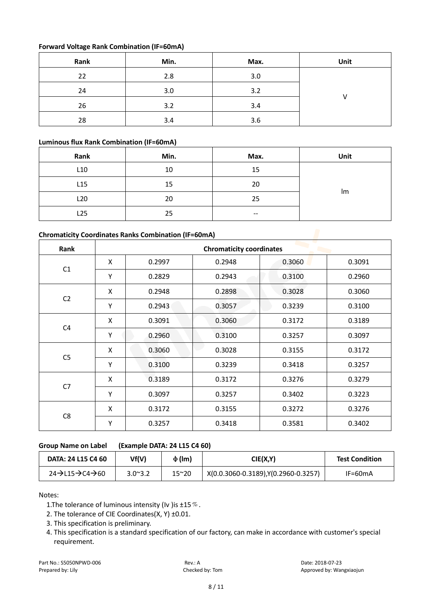# **Forward Voltage Rank Combination (IF=60mA)**

| Rank | Min. | Max. | Unit |
|------|------|------|------|
| 22   | 2.8  | 3.0  |      |
| 24   | 3.0  | 3.2  |      |
| 26   | 3.2  | 3.4  |      |
| 28   | 3.4  | 3.6  |      |

# **Luminous flux Rank Combination (IF=60mA)**

| Rank            | Min. | Max.  | Unit |  |
|-----------------|------|-------|------|--|
| L <sub>10</sub> | 10   | 15    |      |  |
| L15             | 15   | 20    |      |  |
| L <sub>20</sub> | 20   | 25    | Im   |  |
| L25             | 25   | $- -$ |      |  |

# **Chromaticity Coordinates Ranks Combination (IF=60mA)**

| Rank           | <b>Chromaticity coordinates</b> |        |        |        |        |  |
|----------------|---------------------------------|--------|--------|--------|--------|--|
|                | X                               | 0.2997 | 0.2948 | 0.3060 | 0.3091 |  |
| C1             | Υ                               | 0.2829 | 0.2943 | 0.3100 | 0.2960 |  |
|                | X                               | 0.2948 | 0.2898 | 0.3028 | 0.3060 |  |
| C <sub>2</sub> | Υ                               | 0.2943 | 0.3057 | 0.3239 | 0.3100 |  |
|                | X                               | 0.3091 | 0.3060 | 0.3172 | 0.3189 |  |
| C <sub>4</sub> | Y                               | 0.2960 | 0.3100 | 0.3257 | 0.3097 |  |
|                | X                               | 0.3060 | 0.3028 | 0.3155 | 0.3172 |  |
| C <sub>5</sub> | Υ                               | 0.3100 | 0.3239 | 0.3418 | 0.3257 |  |
| C7             | X                               | 0.3189 | 0.3172 | 0.3276 | 0.3279 |  |
|                | Υ                               | 0.3097 | 0.3257 | 0.3402 | 0.3223 |  |
| C <sub>8</sub> | X                               | 0.3172 | 0.3155 | 0.3272 | 0.3276 |  |
|                | Υ                               | 0.3257 | 0.3418 | 0.3581 | 0.3402 |  |

# **Group Name on Label (Example DATA: 24 L15 C4 60)**

| DATA: 24 L15 C4 60                                 | Vf(V)           | $\Phi$ (lm)   | CIE(X,Y)                             | <b>Test Condition</b> |
|----------------------------------------------------|-----------------|---------------|--------------------------------------|-----------------------|
| $24 \rightarrow 115 \rightarrow 24 \rightarrow 60$ | $3.0^{\sim}3.2$ | $15^{\sim}20$ | X(0.0.3060-0.3189), Y(0.2960-0.3257) | $IF=60mA$             |

Notes:

1. The tolerance of luminous intensity (Iv ) is  $\pm$ 15  $\%$ .

2. The tolerance of CIE Coordinates(X, Y) ±0.01.

3. This specification is preliminary.

4. This specification is a standard specification of our factory, can make in accordance with customer's special requirement.

Part No.: S5050NPWD-006 **Rev.: A** Rev.: A Date: 2018-07-23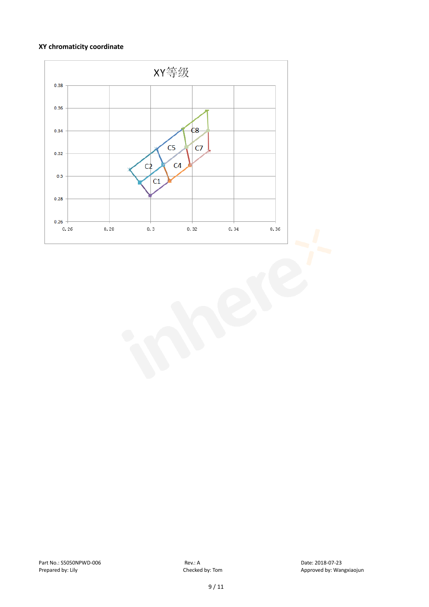# **XY chromaticity coordinate**

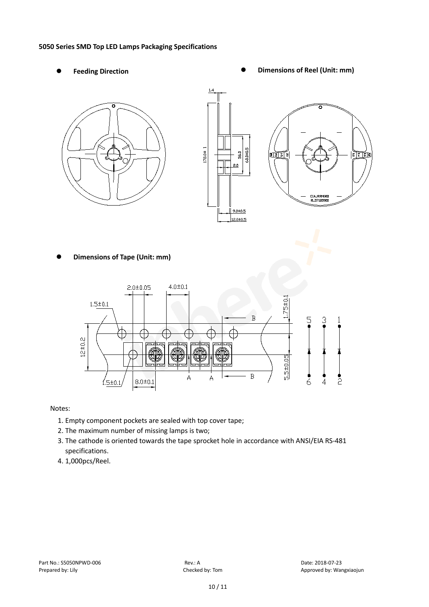#### **5050 Series SMD Top LED Lamps Packaging Specifications**

- 
- Feeding Direction **Constanting Constanting Constanting Constanting Constanting Constanting Constanting Constanting Constanting Constanting Constanting Constanting Constanting Constanting Constanting Constanting Constanting**





**Dimensions of Tape (Unit: mm)**



Notes:

- 1. Empty component pockets are sealed with top cover tape;
- 2. The maximum number of missing lamps is two;
- 3. The cathode is oriented towards the tape sprocket hole in accordance with ANSI/EIA RS-481 specifications.
- 4. 1,000pcs/Reel.